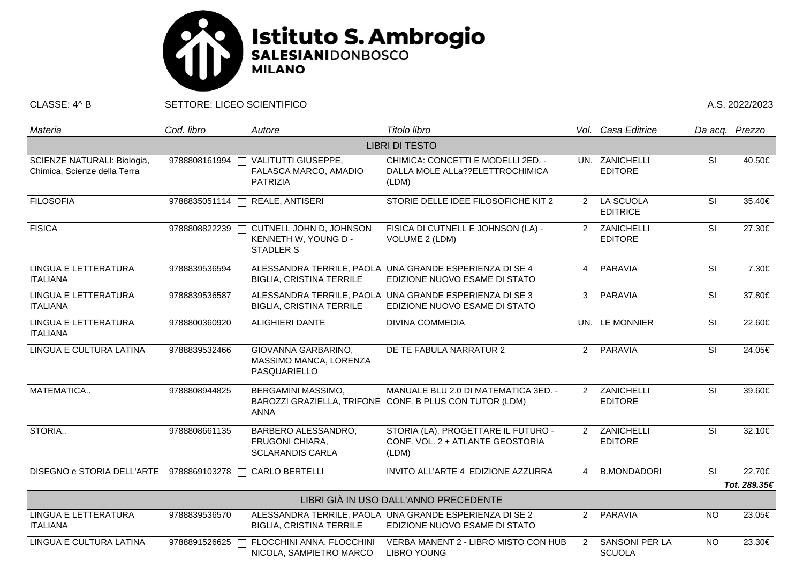

CLASSE: 4^ B SETTORE: LICEO SCIENTIFICO A.S. 2022/2023

| Materia                                                     | Cod. libro    | Autore                                                              | Titolo libro                                                                                    |                | Vol. Casa Editrice                     | Da acq. Prezzo           |              |  |  |  |  |
|-------------------------------------------------------------|---------------|---------------------------------------------------------------------|-------------------------------------------------------------------------------------------------|----------------|----------------------------------------|--------------------------|--------------|--|--|--|--|
| <b>LIBRI DI TESTO</b>                                       |               |                                                                     |                                                                                                 |                |                                        |                          |              |  |  |  |  |
| SCIENZE NATURALI: Biologia,<br>Chimica, Scienze della Terra | 9788808161994 | VALITUTTI GIUSEPPE,<br>FALASCA MARCO, AMADIO<br><b>PATRIZIA</b>     | CHIMICA: CONCETTI E MODELLI 2ED. -<br>DALLA MOLE ALLa??ELETTROCHIMICA<br>(LDM)                  |                | UN. ZANICHELLI<br><b>EDITORE</b>       | <b>SI</b>                | 40.50€       |  |  |  |  |
| <b>FILOSOFIA</b>                                            | 9788835051114 | REALE, ANTISERI                                                     | STORIE DELLE IDEE FILOSOFICHE KIT 2                                                             | $2^{\circ}$    | LA SCUOLA<br><b>EDITRICE</b>           | $\overline{\mathsf{SI}}$ | 35.40€       |  |  |  |  |
| <b>FISICA</b>                                               | 9788808822239 | CUTNELL JOHN D, JOHNSON<br>KENNETH W, YOUNG D -<br><b>STADLER S</b> | FISICA DI CUTNELL E JOHNSON (LA) -<br>VOLUME 2 (LDM)                                            | $\mathcal{P}$  | ZANICHELLI<br><b>EDITORE</b>           | SI                       | 27.30€       |  |  |  |  |
| LINGUA E LETTERATURA<br><b>ITALIANA</b>                     | 9788839536594 | <b>BIGLIA, CRISTINA TERRILE</b>                                     | ALESSANDRA TERRILE, PAOLA UNA GRANDE ESPERIENZA DI SE 4<br>EDIZIONE NUOVO ESAME DI STATO        |                | 4 PARAVIA                              | SI                       | 7.30€        |  |  |  |  |
| LINGUA E LETTERATURA<br><b>ITALIANA</b>                     | 9788839536587 | <b>BIGLIA, CRISTINA TERRILE</b>                                     | ALESSANDRA TERRILE, PAOLA UNA GRANDE ESPERIENZA DI SE 3<br>EDIZIONE NUOVO ESAME DI STATO        | 3              | PARAVIA                                | SI                       | 37.80€       |  |  |  |  |
| LINGUA E LETTERATURA<br><b>ITALIANA</b>                     | 9788800360920 | <b>ALIGHIERI DANTE</b><br>$\perp$                                   | <b>DIVINA COMMEDIA</b>                                                                          |                | UN. LE MONNIER                         | SI                       | 22.60€       |  |  |  |  |
| LINGUA E CULTURA LATINA                                     | 9788839532466 | GIOVANNA GARBARINO,<br>MASSIMO MANCA, LORENZA<br>PASQUARIELLO       | DE TE FABULA NARRATUR 2                                                                         |                | 2 PARAVIA                              | $\overline{\mathsf{SI}}$ | 24.05€       |  |  |  |  |
| MATEMATICA                                                  | 9788808944825 | BERGAMINI MASSIMO,<br><b>ANNA</b>                                   | MANUALE BLU 2.0 DI MATEMATICA 3ED. -<br>BAROZZI GRAZIELLA, TRIFONE CONF. B PLUS CON TUTOR (LDM) | $2^{\circ}$    | ZANICHELLI<br><b>EDITORE</b>           | <b>SI</b>                | 39.60€       |  |  |  |  |
| STORIA                                                      | 9788808661135 | BARBERO ALESSANDRO,<br>FRUGONI CHIARA,<br><b>SCLARANDIS CARLA</b>   | STORIA (LA). PROGETTARE IL FUTURO -<br>CONF. VOL. 2 + ATLANTE GEOSTORIA<br>(LDM)                | $\overline{2}$ | ZANICHELLI<br><b>EDITORE</b>           | $\overline{\mathsf{SI}}$ | 32.10€       |  |  |  |  |
| DISEGNO e STORIA DELL'ARTE 9788869103278 □                  |               | CARLO BERTELLI                                                      | INVITO ALL'ARTE 4 EDIZIONE AZZURRA                                                              | $\overline{4}$ | <b>B.MONDADORI</b>                     | <b>SI</b>                | 22.70€       |  |  |  |  |
|                                                             |               |                                                                     |                                                                                                 |                |                                        |                          | Tot. 289.35€ |  |  |  |  |
| LIBRI GIÀ IN USO DALL'ANNO PRECEDENTE                       |               |                                                                     |                                                                                                 |                |                                        |                          |              |  |  |  |  |
| LINGUA E LETTERATURA<br><b>ITALIANA</b>                     | 9788839536570 | <b>BIGLIA, CRISTINA TERRILE</b>                                     | ALESSANDRA TERRILE, PAOLA UNA GRANDE ESPERIENZA DI SE 2<br>EDIZIONE NUOVO ESAME DI STATO        |                | 2 PARAVIA                              | <b>NO</b>                | 23.05€       |  |  |  |  |
| LINGUA E CULTURA LATINA                                     | 9788891526625 | FLOCCHINI ANNA, FLOCCHINI<br>NICOLA, SAMPIETRO MARCO                | VERBA MANENT 2 - LIBRO MISTO CON HUB<br><b>LIBRO YOUNG</b>                                      | $\overline{2}$ | <b>SANSONI PER LA</b><br><b>SCUOLA</b> | <b>NO</b>                | 23.30€       |  |  |  |  |